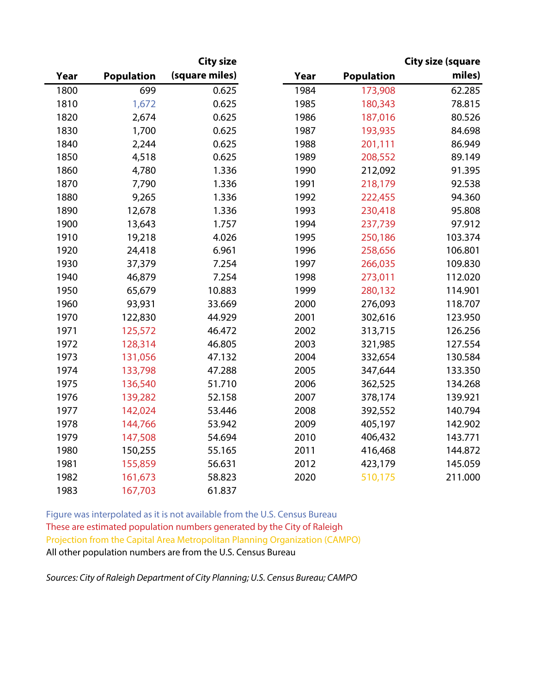|      |                   | <b>City size</b> |      |                   | <b>City size (square</b> |
|------|-------------------|------------------|------|-------------------|--------------------------|
| Year | <b>Population</b> | (square miles)   | Year | <b>Population</b> | miles)                   |
| 1800 | 699               | 0.625            | 1984 | 173,908           | 62.285                   |
| 1810 | 1,672             | 0.625            | 1985 | 180,343           | 78.815                   |
| 1820 | 2,674             | 0.625            | 1986 | 187,016           | 80.526                   |
| 1830 | 1,700             | 0.625            | 1987 | 193,935           | 84.698                   |
| 1840 | 2,244             | 0.625            | 1988 | 201,111           | 86.949                   |
| 1850 | 4,518             | 0.625            | 1989 | 208,552           | 89.149                   |
| 1860 | 4,780             | 1.336            | 1990 | 212,092           | 91.395                   |
| 1870 | 7,790             | 1.336            | 1991 | 218,179           | 92.538                   |
| 1880 | 9,265             | 1.336            | 1992 | 222,455           | 94.360                   |
| 1890 | 12,678            | 1.336            | 1993 | 230,418           | 95.808                   |
| 1900 | 13,643            | 1.757            | 1994 | 237,739           | 97.912                   |
| 1910 | 19,218            | 4.026            | 1995 | 250,186           | 103.374                  |
| 1920 | 24,418            | 6.961            | 1996 | 258,656           | 106.801                  |
| 1930 | 37,379            | 7.254            | 1997 | 266,035           | 109.830                  |
| 1940 | 46,879            | 7.254            | 1998 | 273,011           | 112.020                  |
| 1950 | 65,679            | 10.883           | 1999 | 280,132           | 114.901                  |
| 1960 | 93,931            | 33.669           | 2000 | 276,093           | 118.707                  |
| 1970 | 122,830           | 44.929           | 2001 | 302,616           | 123.950                  |
| 1971 | 125,572           | 46.472           | 2002 | 313,715           | 126.256                  |
| 1972 | 128,314           | 46.805           | 2003 | 321,985           | 127.554                  |
| 1973 | 131,056           | 47.132           | 2004 | 332,654           | 130.584                  |
| 1974 | 133,798           | 47.288           | 2005 | 347,644           | 133.350                  |
| 1975 | 136,540           | 51.710           | 2006 | 362,525           | 134.268                  |
| 1976 | 139,282           | 52.158           | 2007 | 378,174           | 139.921                  |
| 1977 | 142,024           | 53.446           | 2008 | 392,552           | 140.794                  |
| 1978 | 144,766           | 53.942           | 2009 | 405,197           | 142.902                  |
| 1979 | 147,508           | 54.694           | 2010 | 406,432           | 143.771                  |
| 1980 | 150,255           | 55.165           | 2011 | 416,468           | 144.872                  |
| 1981 | 155,859           | 56.631           | 2012 | 423,179           | 145.059                  |
| 1982 | 161,673           | 58.823           | 2020 | 510,175           | 211.000                  |
| 1983 | 167,703           | 61.837           |      |                   |                          |

Figure was interpolated as it is not available from the U.S. Census Bureau These are estimated population numbers generated by the City of Raleigh Projection from the Capital Area Metropolitan Planning Organization (CAMPO) All other population numbers are from the U.S. Census Bureau

*Sources: City of Raleigh Department of City Planning; U.S. Census Bureau; CAMPO*